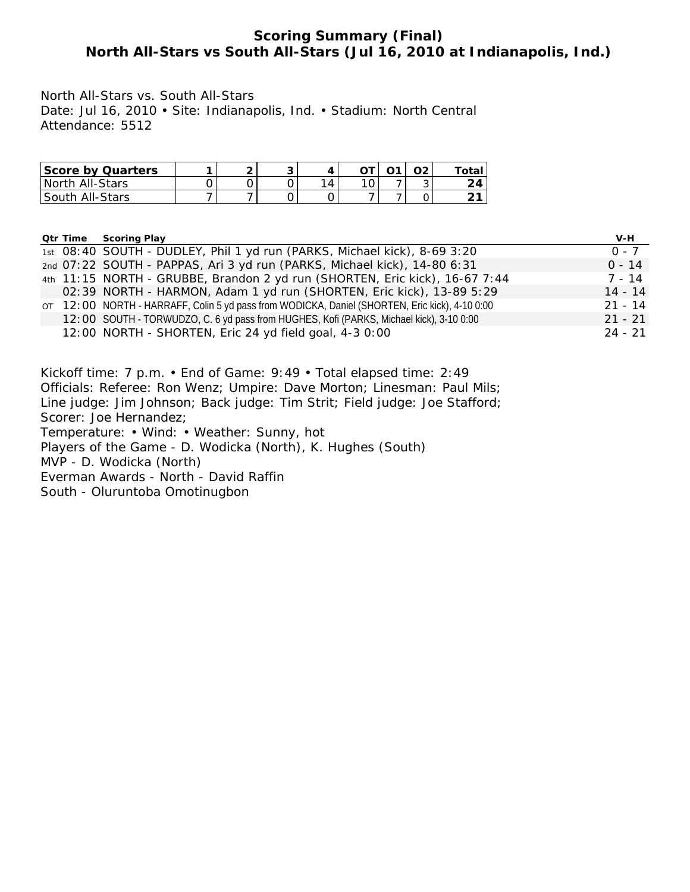### **Scoring Summary (Final) North All-Stars vs South All-Stars (Jul 16, 2010 at Indianapolis, Ind.)**

North All-Stars vs. South All-Stars Date: Jul 16, 2010 • Site: Indianapolis, Ind. • Stadium: North Central Attendance: 5512

| Score by Quarters |  |    | <b>01</b> | Ο2 | $\tau$ otal |
|-------------------|--|----|-----------|----|-------------|
| North All-Stars   |  | 14 |           |    |             |
| South All-Stars   |  |    |           |    |             |

|  | <b>Qtr Time Scoring Play</b>                                                                   | V-H       |
|--|------------------------------------------------------------------------------------------------|-----------|
|  | 1st 08:40 SOUTH - DUDLEY, Phil 1 yd run (PARKS, Michael kick), 8-69 3:20                       | $0 - 7$   |
|  | 2nd 07:22 SOUTH - PAPPAS, Ari 3 yd run (PARKS, Michael kick), 14-80 6:31                       | $0 - 14$  |
|  | 4th 11:15 NORTH - GRUBBE, Brandon 2 yd run (SHORTEN, Eric kick), 16-67 7:44                    | $7 - 14$  |
|  | 02:39 NORTH - HARMON, Adam 1 yd run (SHORTEN, Eric kick), 13-89 5:29                           | $14 - 14$ |
|  | OT 12:00 NORTH - HARRAFF, Colin 5 yd pass from WODICKA, Daniel (SHORTEN, Eric kick), 4-10 0:00 | $21 - 14$ |
|  | 12:00 SOUTH - TORWUDZO, C. 6 yd pass from HUGHES, Kofi (PARKS, Michael kick), 3-10 0:00        | $21 - 21$ |
|  | 12:00 NORTH - SHORTEN, Eric 24 yd field goal, 4-3 0:00                                         | $24 - 21$ |

Kickoff time: 7 p.m. • End of Game: 9:49 • Total elapsed time: 2:49 Officials: Referee: Ron Wenz; Umpire: Dave Morton; Linesman: Paul Mils; Line judge: Jim Johnson; Back judge: Tim Strit; Field judge: Joe Stafford; Scorer: Joe Hernandez; Temperature: • Wind: • Weather: Sunny, hot Players of the Game - D. Wodicka (North), K. Hughes (South) MVP - D. Wodicka (North) Everman Awards - North - David Raffin South - Oluruntoba Omotinugbon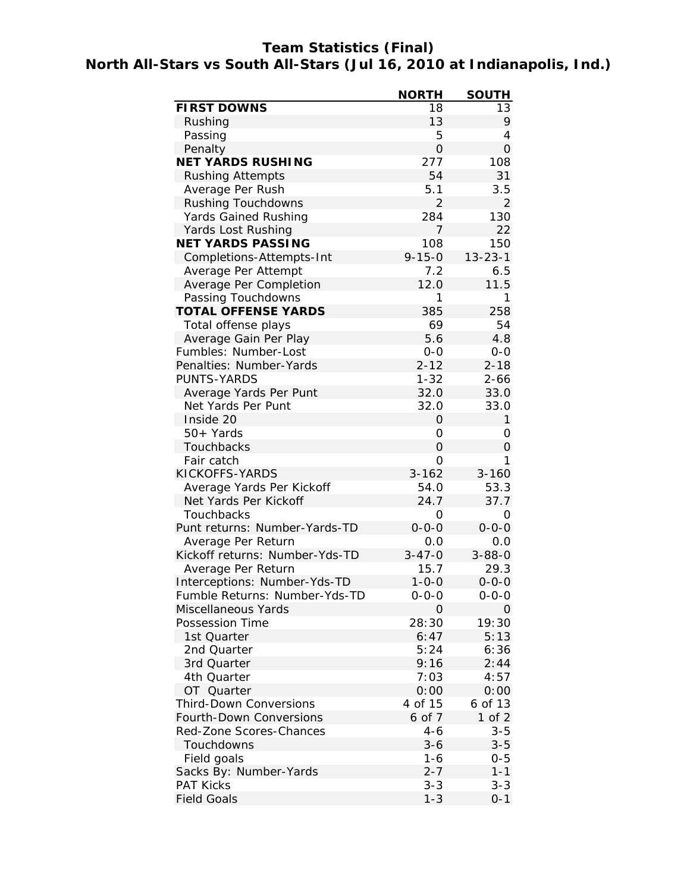# **Team Statistics (Final) North All-Stars vs South All-Stars (Jul 16, 2010 at Indianapolis, Ind.)**

|                                | <b>NORTH</b>   | <b>SOUTH</b>   |
|--------------------------------|----------------|----------------|
| <b>FIRST DOWNS</b>             | 18             | 13             |
| Rushing                        | 13             | 9              |
| Passing                        | 5              | 4              |
| Penalty                        | $\mathbf 0$    | $\overline{O}$ |
| <b>NET YARDS RUSHING</b>       | 277            | 108            |
| <b>Rushing Attempts</b>        | 54             | 31             |
| Average Per Rush               | 5.1            | 3.5            |
| <b>Rushing Touchdowns</b>      | $\overline{2}$ | 2              |
| Yards Gained Rushing           | 284            | 130            |
| Yards Lost Rushing             | 7              | 22             |
| <b>NET YARDS PASSING</b>       | 108            | 150            |
| Completions-Attempts-Int       | $9 - 15 - 0$   | $13 - 23 - 1$  |
| Average Per Attempt            | 7.2            | 6.5            |
| Average Per Completion         | 12.0           | 11.5           |
| Passing Touchdowns             | 1              | 1              |
| <b>TOTAL OFFENSE YARDS</b>     | 385            | 258            |
| Total offense plays            | 69             | 54             |
| Average Gain Per Play          | 5.6            | 4.8            |
| Fumbles: Number-Lost           | $0 - 0$        | $0 - 0$        |
| Penalties: Number-Yards        | $2 - 12$       | $2 - 18$       |
| PUNTS-YARDS                    | $1 - 32$       | $2 - 66$       |
| Average Yards Per Punt         | 32.0           | 33.0           |
| Net Yards Per Punt             | 32.0           | 33.0           |
| Inside 20                      | 0              | $\mathbf{1}$   |
| 50+ Yards                      | 0              | 0              |
| Touchbacks                     | $\mathbf 0$    | 0              |
| Fair catch                     | 0              | 1              |
| KICKOFFS-YARDS                 | $3 - 162$      | $3 - 160$      |
| Average Yards Per Kickoff      | 54.0           | 53.3           |
| Net Yards Per Kickoff          | 24.7           | 37.7           |
| Touchbacks                     | 0              | 0              |
| Punt returns: Number-Yards-TD  | $0 - 0 - 0$    | $0 - 0 - 0$    |
| Average Per Return             | 0.0            | 0.0            |
| Kickoff returns: Number-Yds-TD | $3 - 47 - 0$   | $3 - 88 - 0$   |
| Average Per Return             | 15.7           | 29.3           |
| Interceptions: Number-Yds-TD   | $1 - 0 - 0$    | $0 - 0 - 0$    |
| Fumble Returns: Number-Yds-TD  | $0 - 0 - 0$    | $0 - 0 - 0$    |
| Miscellaneous Yards            | $\mathbf 0$    | 0              |
| Possession Time                | 28:30          | 19:30          |
| 1st Quarter                    | 6:47           | 5:13           |
| 2nd Quarter                    | 5:24           | 6:36           |
| 3rd Quarter                    | 9:16           | 2:44           |
| 4th Quarter                    | 7:03           | 4:57           |
| OT Quarter                     | 0:00           | 0:00           |
| <b>Third-Down Conversions</b>  | 4 of 15        | 6 of 13        |
| Fourth-Down Conversions        | 6 of 7         | 1 of $2$       |
| Red-Zone Scores-Chances        | $4 - 6$        | $3 - 5$        |
| Touchdowns                     | $3 - 6$        | $3 - 5$        |
| Field goals                    | $1 - 6$        | $0 - 5$        |
| Sacks By: Number-Yards         | $2 - 7$        | $1 - 1$        |
| <b>PAT Kicks</b>               | $3 - 3$        | $3 - 3$        |
| <b>Field Goals</b>             | $1 - 3$        | $0 - 1$        |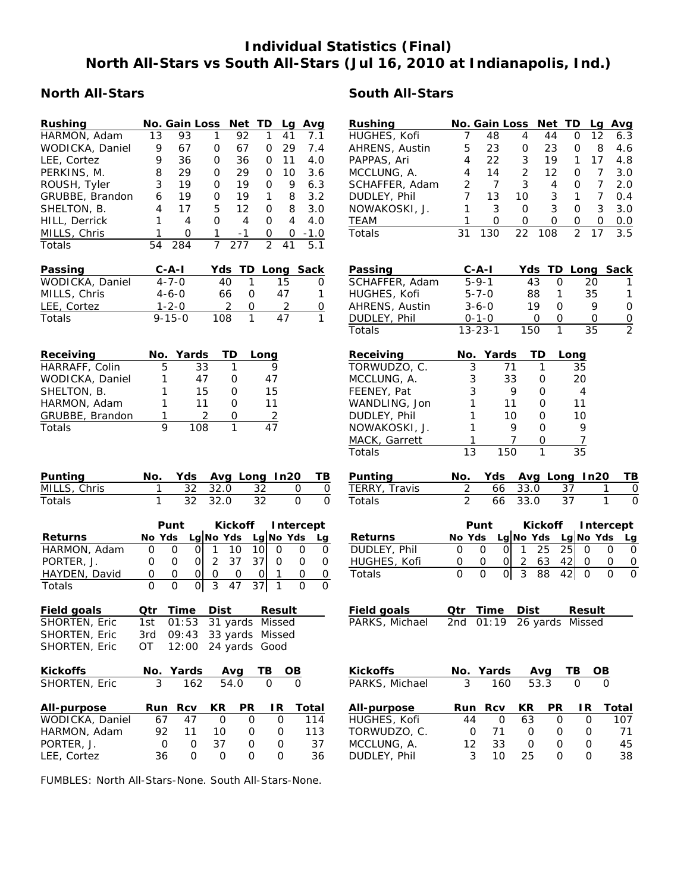# **Individual Statistics (Final) North All-Stars vs South All-Stars (Jul 16, 2010 at Indianapolis, Ind.)**

## **North All-Stars South All-Stars**

| Rushing                         |            | No. Gain Loss |              |                | Net            | TD             | Lq            | Avg          |
|---------------------------------|------------|---------------|--------------|----------------|----------------|----------------|---------------|--------------|
| HARMON, Adam                    | 13         | 93            |              | 1              | 92             | 1              | 41            | 7.1          |
| WODICKA, Daniel                 | 9          | 67            |              | 0              | 67             | 0              | 29            | 7.4          |
| LEE, Cortez                     | 9          | 36            |              | 0              | 36             | 0              | 11            | 4.0          |
| PERKINS, M.                     | 8          | 29            |              | 0              | 29             | 0              | 10            | 3.6          |
| ROUSH, Tyler                    | 3          | 19            |              | 0              | 19             | 0              | 9             | 6.3          |
| GRUBBE, Brandon                 | 6          | 19            |              | 0              | 19             | 1              | 8             | 3.2          |
| SHELTON, B.                     | 4          | 17            |              | 5              | 12             | 0              | 8             | 3.0          |
| HILL, Derrick                   | 1          | 4             |              | O              | 4              | 0              | 4             | 4.0          |
| MILLS, Chris                    | 1          | 0             |              | 1              | -1             | 0              |               | $0 - 1.0$    |
| Totals                          | 54         | 284           |              | 7              | 277            | $\overline{2}$ | 41            | 5.1          |
|                                 |            |               |              |                |                |                |               |              |
| Passing                         |            | C-A-I         |              | Yds            |                | TD Long        |               | <b>Sack</b>  |
| WODICKA, Daniel                 |            | $4 - 7 - 0$   |              | 40             | 1              |                | 15            | 0            |
| MILLS, Chris                    |            | $4 - 6 - 0$   |              | 66             | 0              |                | 47            | 1            |
| LEE, Cortez                     |            | $1 - 2 - 0$   |              | 2              | 0              |                | 2             | 0            |
| Totals                          |            | 9-15-0        |              | 108            | 1              |                | 47            |              |
|                                 |            |               |              |                |                |                |               |              |
|                                 |            |               |              |                |                |                |               |              |
| Receiving                       | No.        |               | Yards        | TD             |                | Long           |               |              |
| HARRAFF, Colin                  |            | 5             | 33           | 1              |                | 9              |               |              |
| WODICKA, Daniel                 | 1          |               | 47           | 0              |                | 47             |               |              |
| SHELTON, B.                     | 1          |               | 15           | 0              |                | 15             |               |              |
| HARMON, Adam                    | 1          |               | 11           | O              |                | 11             |               |              |
| GRUBBE, Brandon                 | 1          |               | 2            | 0              |                | $\overline{2}$ |               |              |
| Totals                          |            | 9             | 108          | 1              |                | 47             |               |              |
|                                 |            |               |              |                |                |                |               |              |
|                                 |            |               |              |                |                |                |               |              |
|                                 |            |               |              |                |                |                |               |              |
| Punting                         | No.        |               | Yds Avg Long |                |                |                | In20          | TВ           |
| MILLS, Chris                    | 1          | <u>32</u>     |              | 32.0           |                | <u>32</u>      | 0             | 0            |
| Totals                          | 1          |               | 32           | 32.0           |                | 32             | 0             | O            |
|                                 |            |               |              |                |                |                |               |              |
|                                 |            | Punt          |              |                | <b>Kickoff</b> |                | Intercept     |              |
| <u>Returns</u>                  | No Yds     |               | Lg No Yds    |                |                |                | Lg No Yds     | Lg           |
| HARMON, Adam                    | O          | 0             | 0            | 1.             | 10             | 10             | 0<br>O        | 0            |
| PORTER, J.                      | 0          | 0             | Οl           | $\overline{2}$ | 37             | 37             | 0             | 0<br>0       |
| HAYDEN, David                   | 0          | 0             | 0            | 0              | $\overline{O}$ | 0              | 1<br>0        | 0            |
| Totals                          | Ο          | 0             | 0            | 3              | 47             | 37             | 1<br>O        | O            |
|                                 |            |               |              |                |                |                |               |              |
| <b>Field goals</b>              | <u>Qtr</u> | <u>Time</u>   |              | <u>Dist</u>    |                |                | <b>Result</b> |              |
| SHORTEN, Eric                   | 1st        | 01:53         |              | 31 yards       |                |                | Missed        |              |
| SHORTEN, Eric                   | 3rd        | 09:43         |              | 33 yards       |                |                | Missed        |              |
| SHORTEN, Eric                   | OT         | 12:00         |              | 24 yards       |                | Good           |               |              |
|                                 |            |               |              |                |                |                |               |              |
| <b>Kickoffs</b>                 | No.        | <b>Yards</b>  |              | Avg            |                | ТВ             | OВ            |              |
|                                 |            |               |              |                |                |                |               |              |
| SHORTEN, Eric                   | 3          |               | 162          | 54.0           |                | Ο              | 0             |              |
|                                 | Run        |               |              | КR             | PR             |                | IR            |              |
| <b>All-purpose</b>              |            | Rcv<br>47     |              | O              | 0              |                | 0             | Total<br>114 |
| WODICKA, Daniel<br>HARMON, Adam | 67<br>92   | 11            |              | 10             | 0              |                | 0             | 113          |

| Rushing        |    | No. Gain Loss Net TD |    |     |   | La | Avq |
|----------------|----|----------------------|----|-----|---|----|-----|
|                |    |                      |    |     |   |    |     |
| HUGHES, Kofi   |    | 48                   | 4  | 44  | O | 12 | 6.3 |
| AHRENS, Austin | 5  | 23                   | 0  | 23  | O | 8  | 4.6 |
| PAPPAS, Ari    | 4  | 22                   | 3  | 19  | 1 | 17 | 4.8 |
| MCCLUNG, A.    | 4  | 14                   | 2  | 12  | O |    | 3.0 |
| SCHAFFER, Adam | 2  | 7                    | 3  | 4   | ი |    | 2.0 |
| DUDLEY, Phil   |    | 13                   | 10 | 3   | 1 |    | 0.4 |
| NOWAKOSKI, J.  | 1  | 3                    | 0  | 3   | O | 3  | 3.0 |
| TEAM           | 1  | O                    | Ω  | റ   | O | Ω  | 0.0 |
| Totals         | 31 | 130                  | 22 | 108 | 2 | 17 | 3.5 |
|                |    |                      |    |     |   |    |     |

| Passing        | $C - A - I$   |     |                | Yds TD Long Sack |               |
|----------------|---------------|-----|----------------|------------------|---------------|
| SCHAFFER, Adam | $5 - 9 - 1$   | 43  |                | 20               |               |
| HUGHES, Kofi   | $5 - 7 - 0$   | 88  |                | 35               |               |
| AHRENS, Austin | $3 - 6 - 0$   | 19  |                |                  | U             |
| DUDLEY, Phil   | $0 - 1 - 0$   | O   | $\mathfrak{g}$ |                  | ∩             |
| Totals         | $13 - 23 - 1$ | 150 |                | 35               | $\mathcal{P}$ |

| Receiving     |    | No. Yards | TD | Long           |
|---------------|----|-----------|----|----------------|
| TORWUDZO, C.  |    | 71        |    | 35             |
| MCCLUNG, A.   | 3  | 33        | O  | 20             |
| FEENEY, Pat   | 3  | 9         | Ω  | $\overline{4}$ |
| WANDLING, Jon |    | 11        | O  | 11             |
| DUDLEY, Phil  |    | 10        | O  | 10             |
| NOWAKOSKI, J. |    | 9         | O  | 9              |
| MACK, Garrett |    |           | ∩  | 7              |
| Totals        | 13 |           |    | 35             |

| <b>Punting</b> |  |         |            | No. Yds Avg Long In20 TB |  |
|----------------|--|---------|------------|--------------------------|--|
| TERRY, Travis  |  |         | 66 33.0 37 |                          |  |
| <b>Totals</b>  |  | 66 33.0 | - 37       |                          |  |

|                | Kickoff Intercept<br>Punt<br>No Yds Lg No Yds Lg No Yds Lg |  |  |                  |    |  |  |
|----------------|------------------------------------------------------------|--|--|------------------|----|--|--|
| <b>Returns</b> |                                                            |  |  |                  |    |  |  |
| DUDLEY, Phil   |                                                            |  |  | $0$   1 25 25    |    |  |  |
| HUGHES, Kofi   |                                                            |  |  | 63               | 42 |  |  |
| Totals         |                                                            |  |  | $0$   3 88 42  0 |    |  |  |

| Field goals    | Otr Time Dist |                             | Result |
|----------------|---------------|-----------------------------|--------|
| PARKS, Michael |               | 2nd $01:19$ 26 yards Missed |        |

|    |              |                  | ΤВ          | OВ                       |
|----|--------------|------------------|-------------|--------------------------|
| 3  | 160          |                  |             |                          |
|    | Rcv          | <b>KR</b>        | IR.         | Total                    |
| 44 | $\mathbf{O}$ | 63               |             | 107                      |
| Ω  | 71           | Ω                | O           | 71                       |
| 12 | 33           | O                | O           | 45                       |
| 3  | 10           | 25               |             | 38                       |
|    |              | No. Yards<br>Run | Avg<br>53.3 | <b>PR</b><br>Ω<br>Ω<br>O |

FUMBLES: North All-Stars-None. South All-Stars-None.

LEE, Cortez 36 0 0 0 0 36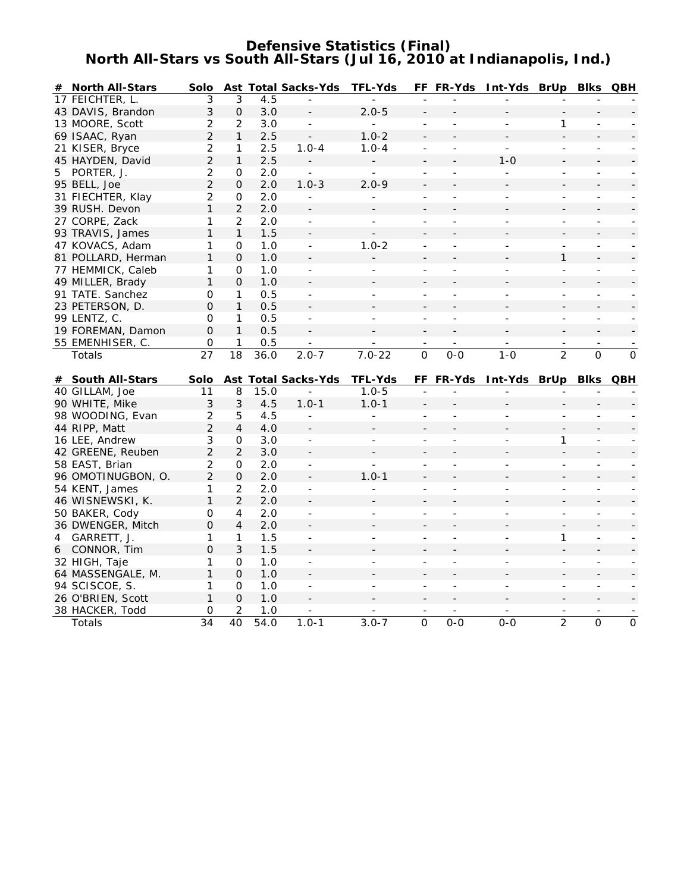### **Defensive Statistics (Final) North All-Stars vs South All-Stars (Jul 16, 2010 at Indianapolis, Ind.)**

|   | # North All-Stars         | Solo           |                |             | <b>Ast Total Sacks-Yds</b> | <b>TFL-Yds</b>           |                          | FF FR-Yds                | Int-Yds BrUp Blks QBH    |                          |                          |                          |
|---|---------------------------|----------------|----------------|-------------|----------------------------|--------------------------|--------------------------|--------------------------|--------------------------|--------------------------|--------------------------|--------------------------|
|   | 17 FEICHTER, L.           | 3              | 3              | 4.5         |                            |                          |                          |                          |                          |                          |                          |                          |
|   | 43 DAVIS, Brandon         | 3              | $\mathbf 0$    | 3.0         | $\overline{\phantom{a}}$   | $2.0 - 5$                | $\qquad \qquad -$        |                          |                          |                          |                          |                          |
|   | 13 MOORE, Scott           | 2              | 2              | 3.0         | $\overline{\phantom{a}}$   |                          | $\overline{a}$           |                          | $\overline{\phantom{a}}$ | 1                        |                          |                          |
|   | 69 ISAAC, Ryan            | $\overline{2}$ | $\mathbf{1}$   | 2.5         |                            | $1.0 - 2$                | $\overline{a}$           |                          |                          |                          |                          |                          |
|   | 21 KISER, Bryce           | $\overline{2}$ | 1              | 2.5         | $1.0 - 4$                  | $1.0 - 4$                | $\overline{\phantom{a}}$ | $\blacksquare$           | $\blacksquare$           | $\overline{\phantom{a}}$ | $\overline{\phantom{a}}$ |                          |
|   | 45 HAYDEN, David          | $\overline{2}$ | $\mathbf{1}$   | 2.5         |                            |                          |                          |                          | $1 - 0$                  |                          |                          |                          |
|   | 5 PORTER, J.              | 2              | 0              | 2.0         | $\overline{a}$             | $\overline{\phantom{a}}$ | $\overline{a}$           | ÷.                       | $\blacksquare$           | $\blacksquare$           | $\overline{\phantom{a}}$ |                          |
|   | 95 BELL, Joe              | $\overline{2}$ | 0              | 2.0         | $1.0 - 3$                  | $2.0 - 9$                | $\overline{\phantom{a}}$ |                          |                          |                          |                          |                          |
|   | 31 FIECHTER, Klay         | 2              | 0              | 2.0         | $\blacksquare$             | $\overline{a}$           | $\overline{a}$           | $\overline{a}$           | $\overline{a}$           | $\blacksquare$           | $\overline{a}$           |                          |
|   | 39 RUSH. Devon            | 1              | $\overline{2}$ | 2.0         | $\overline{\phantom{a}}$   |                          | $\overline{a}$           |                          |                          |                          |                          |                          |
|   | 27 CORPE, Zack            | 1              | $\overline{2}$ | 2.0         | $\blacksquare$             | $\equiv$                 | $\overline{\phantom{a}}$ | $\blacksquare$           | $\blacksquare$           | $\overline{\phantom{a}}$ | $\blacksquare$           | $\blacksquare$           |
|   | 93 TRAVIS, James          | 1              | $\mathbf{1}$   | 1.5         |                            |                          |                          |                          |                          |                          |                          |                          |
|   | 47 KOVACS, Adam           | 1              | 0              | 1.0         | $\blacksquare$             | $1.0 - 2$                | $\overline{a}$           |                          |                          | $\overline{a}$           |                          |                          |
|   | 81 POLLARD, Herman        | 1              | $\Omega$       | 1.0         |                            |                          |                          |                          |                          | 1                        |                          |                          |
|   | 77 HEMMICK, Caleb         | 1              | 0              | 1.0         | $\sim$                     | $\overline{\phantom{a}}$ | $\overline{\phantom{a}}$ | ÷.                       | $\sim$                   | $\overline{a}$           | ÷                        | $\sim$                   |
|   | 49 MILLER, Brady          | $\mathbf{1}$   | $\Omega$       | 1.0         |                            |                          |                          |                          |                          |                          |                          |                          |
|   | 91 TATE. Sanchez          | 0              | $\mathbf{1}$   | 0.5         | $\blacksquare$             | $\overline{\phantom{a}}$ | $\overline{\phantom{m}}$ | $\overline{\phantom{a}}$ | $\blacksquare$           | $\overline{\phantom{a}}$ | $\overline{\phantom{m}}$ | $\sim$                   |
|   | 23 PETERSON, D.           | 0              | $\mathbf{1}$   | 0.5         |                            |                          |                          |                          |                          |                          |                          |                          |
|   | 99 LENTZ, C.              | 0              | $\mathbf{1}$   | 0.5         | $\overline{\phantom{a}}$   | $\overline{\phantom{a}}$ | $\overline{a}$           | $\overline{a}$           | $\overline{a}$           | $\frac{1}{2}$            | $\overline{\phantom{a}}$ |                          |
|   | 19 FOREMAN, Damon         | $\Omega$       | $\mathbf{1}$   | 0.5         |                            |                          | $\overline{\phantom{a}}$ |                          |                          |                          |                          |                          |
|   | 55 EMENHISER, C.          | 0              | $\mathbf{1}$   | 0.5         |                            |                          |                          |                          |                          |                          |                          |                          |
|   | Totals                    | 27             | 18             | 36.0        | $2.0 - 7$                  | $7.0 - 22$               | $\overline{0}$           | $0 - 0$                  | $1 - 0$                  | $\overline{2}$           | $\overline{O}$           | $\mathbf{O}$             |
|   |                           |                |                |             |                            |                          |                          |                          |                          |                          |                          |                          |
|   |                           |                |                |             |                            |                          |                          |                          |                          |                          |                          |                          |
|   | # South All-Stars         | Solo           |                |             | <b>Ast Total Sacks-Yds</b> | <b>TFL-Yds</b>           |                          | FF FR-Yds                | Int-Yds BrUp Blks QBH    |                          |                          |                          |
|   | 40 GILLAM, Joe            | 11             | 8              | 15.0        | $\overline{a}$             | $1.0 - 5$                | ÷,                       | $\overline{a}$           |                          | $\overline{a}$           |                          |                          |
|   | 90 WHITE, Mike            | 3              | 3              | 4.5         | $1.0 - 1$                  | $1.0 - 1$                |                          |                          |                          |                          |                          |                          |
|   | 98 WOODING, Evan          | 2              | 5              | 4.5         | $\blacksquare$             | $\overline{a}$           | $\overline{a}$           | $\overline{a}$           |                          | $\overline{a}$           |                          |                          |
|   | 44 RIPP, Matt             | $\overline{2}$ | $\overline{4}$ | 4.0         |                            |                          |                          |                          |                          |                          |                          |                          |
|   | 16 LEE, Andrew            | 3              | 0              | 3.0         | $\blacksquare$             | $\overline{\phantom{a}}$ | $\overline{\phantom{a}}$ | $\overline{a}$           | $\overline{\phantom{a}}$ | 1                        | $\overline{\phantom{a}}$ |                          |
|   | 42 GREENE, Reuben         | $\overline{2}$ | $\overline{2}$ | 3.0         | $\overline{\phantom{a}}$   |                          | $\overline{a}$           |                          |                          |                          |                          |                          |
|   | 58 EAST, Brian            | 2              | 0              | 2.0         | $\blacksquare$             | $\overline{\phantom{a}}$ | $\overline{\phantom{a}}$ | ÷.                       | $\overline{\phantom{a}}$ | $\overline{\phantom{a}}$ | $\overline{\phantom{a}}$ |                          |
|   | 96 OMOTINUGBON, O.        | $\overline{2}$ | $\mathbf{O}$   | 2.0         | $\overline{\phantom{a}}$   | $1.0 - 1$                | $\overline{a}$           |                          |                          |                          |                          |                          |
|   | 54 KENT, James            | 1              | 2              | 2.0         | $\blacksquare$             |                          | ÷,                       |                          |                          | $\overline{a}$           |                          |                          |
|   | 46 WISNEWSKI, K.          | 1              | $\overline{2}$ | 2.0         |                            |                          |                          |                          |                          |                          |                          |                          |
|   | 50 BAKER, Cody            | 0              | 4              | 2.0         | $\blacksquare$             | $\overline{a}$           | $\overline{\phantom{a}}$ | $\overline{a}$           | $\sim$                   | $\blacksquare$           | $\overline{\phantom{a}}$ | $\sim$                   |
|   | 36 DWENGER, Mitch         | $\mathbf 0$    | $\overline{4}$ | 2.0         | $\overline{\phantom{a}}$   |                          |                          |                          |                          |                          |                          |                          |
| 4 | GARRETT, J.               | 1              | $\mathbf{1}$   | 1.5         | $\blacksquare$             | $\overline{\phantom{a}}$ | $\overline{\phantom{0}}$ | $\overline{a}$           | $\overline{a}$           | 1                        | $\overline{\phantom{a}}$ |                          |
|   | 6 CONNOR, Tim             | $\Omega$       | 3              | 1.5         |                            |                          |                          |                          |                          |                          |                          |                          |
|   | 32 HIGH, Taje             | 1              | 0              | 1.0         | $\overline{\phantom{a}}$   |                          |                          | ÷,                       | $\blacksquare$           | $\overline{\phantom{a}}$ |                          |                          |
|   | 64 MASSENGALE, M.         | 1              | $\Omega$       | 1.0         |                            |                          |                          |                          |                          |                          |                          |                          |
|   | 94 SCISCOE, S.            | 1              | 0              | 1.0         | $\blacksquare$             | $\overline{a}$           | $\overline{\phantom{a}}$ | $\blacksquare$           | $\sim$                   | $\blacksquare$           | $\overline{\phantom{a}}$ |                          |
|   | 26 O'BRIEN, Scott         | 1              | $\Omega$       | 1.0         |                            |                          | $\overline{\phantom{a}}$ |                          |                          | $\overline{\phantom{a}}$ |                          | $\overline{\phantom{a}}$ |
|   | 38 HACKER, Todd<br>Totals | 0<br>34        | 2<br>40        | 1.0<br>54.0 | $1.0 - 1$                  | $3.0 - 7$                | $\overline{0}$           | $0 - 0$                  | $0 - 0$                  | $\overline{2}$           | O                        | $\mathbf{O}$             |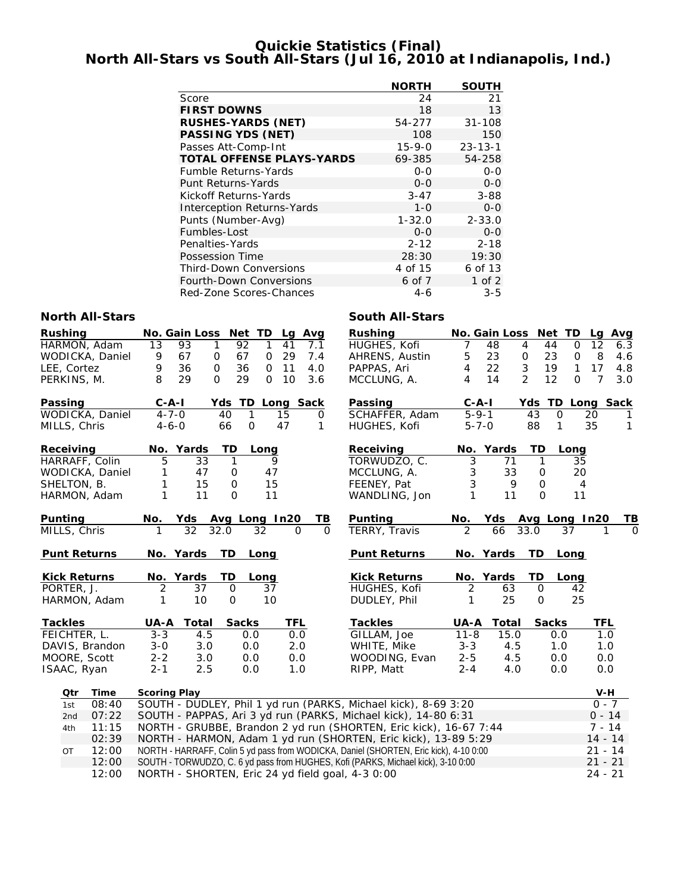### **Quickie Statistics (Final) North All-Stars vs South All-Stars (Jul 16, 2010 at Indianapolis, Ind.)**

|                                   | <b>NORTH</b> | <b>SOUTH</b>  |
|-----------------------------------|--------------|---------------|
| Score                             | 24           | 21            |
| <b>FIRST DOWNS</b>                | 18           | 13            |
| <b>RUSHES-YARDS (NET)</b>         | 54-277       | $31 - 108$    |
| <b>PASSING YDS (NET)</b>          | 108          | 150           |
| Passes Att-Comp-Int               | $15 - 9 - 0$ | $23 - 13 - 1$ |
| <b>TOTAL OFFENSE PLAYS-YARDS</b>  | 69-385       | 54-258        |
| Fumble Returns-Yards              | $0 - 0$      | $0 - 0$       |
| <b>Punt Returns-Yards</b>         | $0 - 0$      | $0 - 0$       |
| Kickoff Returns-Yards             | $3 - 47$     | $3 - 88$      |
| <b>Interception Returns-Yards</b> | $1 - \Omega$ | $0 - 0$       |
| Punts (Number-Avg)                | $1 - 32.0$   | $2 - 33.0$    |
| Fumbles-Lost                      | $0 - 0$      | $0 - 0$       |
| Penalties-Yards                   | $2 - 12$     | $2 - 18$      |
| <b>Possession Time</b>            | 28:30        | 19:30         |
| <b>Third-Down Conversions</b>     | 4 of 15      | 6 of 13       |
| <b>Fourth-Down Conversions</b>    | 6 of 7       | $1$ of $2$    |
| Red-Zone Scores-Chances           | $4-6$        | $3 - 5$       |

| <b>North All-Stars</b> |                                                                                       | <b>South All-Stars</b> |                      |                         |                       |
|------------------------|---------------------------------------------------------------------------------------|------------------------|----------------------|-------------------------|-----------------------|
| <b>Rushing</b>         | <b>No. Gain Loss</b><br>Net TD<br>Lg Avg                                              | <b>Rushing</b>         |                      | No. Gain Loss Net TD    | Lg<br>Avg             |
| HARMON, Adam           | 13<br>93<br>1<br>92<br>1<br>41<br>7.1                                                 | HUGHES, Kofi           | 48<br>7              | 4<br>44<br>0            | 12<br>6.3             |
| WODICKA, Daniel        | 29<br>7.4<br>9<br>67<br>67<br>0<br>$\mathsf{O}$                                       | AHRENS, Austin         | 23<br>5              | 23<br>$\mathbf 0$<br>0  | 8<br>4.6              |
| LEE, Cortez            | 36<br>36<br>11<br>9<br>$\mathsf{O}$<br>$\mathsf{O}$<br>4.0                            | PAPPAS, Ari            | 22<br>4              | 3<br>19<br>$\mathbf{1}$ | 17<br>4.8             |
| PERKINS, M.            | 29<br>29<br>10<br>8<br>$\Omega$<br>$\Omega$<br>3.6                                    | MCCLUNG, A.            | 14<br>4              | 2<br>12<br>$\Omega$     | $\overline{7}$<br>3.0 |
| Passing                | $C - A - I$<br>Yds<br>TD Long Sack                                                    | Passing                | $C-A-I$              | Yds TD Long Sack        |                       |
| WODICKA, Daniel        | $4 - 7 - 0$<br>40<br>$\mathbf{1}$<br>15<br>0                                          | SCHAFFER, Adam         | $5 - 9 - 1$          | 43<br>$\Omega$          | 20<br>1               |
| MILLS, Chris           | 66<br>$\mathsf{O}\xspace$<br>47<br>$4 - 6 - 0$<br>1                                   | HUGHES, Kofi           | $5 - 7 - 0$          | 88<br>1                 | 35<br>$\mathbf{1}$    |
| Receiving              | No. Yards<br>TD<br>Long                                                               | Receiving              | No. Yards            | TD<br>Long              |                       |
| HARRAFF, Colin         | 5<br>$\overline{33}$<br>$\mathbf{1}$<br>9                                             | TORWUDZO, C.           | $\overline{3}$<br>71 | $\mathbf{1}$<br>35      |                       |
| WODICKA, Daniel        | 1<br>47<br>47<br>0                                                                    | MCCLUNG, A.            | 3<br>33              | 20<br>$\mathbf 0$       |                       |
| SHELTON, B.            | 1<br>15<br>15<br>0                                                                    | FEENEY, Pat            | 3<br>9               | $\mathbf 0$             | $\overline{4}$        |
| HARMON, Adam           | 1<br>11<br>11<br>$\mathbf 0$                                                          | WANDLING, Jon          | 11<br>1              | $\Omega$<br>11          |                       |
| Punting                | Yds Avg Long In20<br>TВ<br>No.                                                        | Punting                | No.                  | Yds Avg Long In20       | TВ                    |
| MILLS, Chris           | $\overline{32}$<br>32.0<br>$\Omega$<br>32<br>$\Omega$                                 | TERRY, Travis          | $\mathcal{P}$<br>66  | 33.0<br>37              | 0                     |
| <b>Punt Returns</b>    | No. Yards<br>TD<br>Long                                                               | <b>Punt Returns</b>    | No. Yards            | TD<br>Long              |                       |
| <b>Kick Returns</b>    | No. Yards<br>TD<br>Long                                                               | <b>Kick Returns</b>    | No. Yards            | TD<br>Long              |                       |
| PORTER, J.             | $\overline{37}$<br>2<br>$\mathbf 0$<br>37                                             | HUGHES, Kofi           | $\overline{2}$<br>63 | $\mathbf 0$<br>42       |                       |
| HARMON, Adam           | 10<br>10<br>1<br>$\mathbf 0$                                                          | DUDLEY, Phil           | 25<br>1              | 25<br>$\mathbf 0$       |                       |
| <b>Tackles</b>         | UA-A<br>Total<br><b>Sacks</b><br>TFL                                                  | <b>Tackles</b>         | UA-A<br>Total        | <b>Sacks</b>            | TFL                   |
| FEICHTER, L.           | $3 - 3$<br>4.5<br>0.0<br>0.0                                                          | GILLAM, Joe            | $11 - 8$<br>15.0     | 0.0                     | 1.0                   |
| DAVIS, Brandon         | $3 - 0$<br>3.0<br>0.0<br>2.0                                                          | WHITE, Mike            | $3 - 3$<br>4.5       | 1.0                     | 1.0                   |
| MOORE, Scott           | $2 - 2$<br>3.0<br>0.0<br>0.0                                                          | WOODING, Evan          | $2 - 5$<br>4.5       | 0.0                     | 0.0                   |
| ISAAC, Ryan            | $2 - 1$<br>2.5<br>1.0<br>0.0                                                          | RIPP, Matt             | $2 - 4$<br>4.0       | 0.0                     | 0.0                   |
| Otr<br>Time            | <b>Scoring Play</b>                                                                   |                        |                      |                         | V-H                   |
| 08:40<br>1st           | SOUTH - DUDLEY, Phil 1 yd run (PARKS, Michael kick), 8-69 3:20                        |                        |                      |                         | $0 - 7$               |
| 07:22<br>2nd           | SOUTH - PAPPAS, Ari 3 yd run (PARKS, Michael kick), 14-80 6:31                        |                        |                      |                         | $0 - 14$              |
| 11:15<br>4th           | NORTH - GRUBBE, Brandon 2 yd run (SHORTEN, Eric kick), 16-67 7:44                     |                        |                      |                         | $7 - 14$              |
| 02:39                  | NORTH - HARMON, Adam 1 yd run (SHORTEN, Eric kick), 13-89 5:29                        |                        |                      |                         | $14 - 14$             |
| 12:00<br>OT            | NORTH - HARRAFF, Colin 5 yd pass from WODICKA, Daniel (SHORTEN, Eric kick), 4-10 0:00 |                        |                      |                         | $21 - 14$             |
| 12:00                  | SOUTH - TORWUDZO, C. 6 yd pass from HUGHES, Kofi (PARKS, Michael kick), 3-10 0:00     |                        |                      |                         | $21 - 21$             |
| 12:00                  | NORTH - SHORTEN, Eric 24 yd field goal, 4-3 0:00                                      |                        |                      |                         | $24 - 21$             |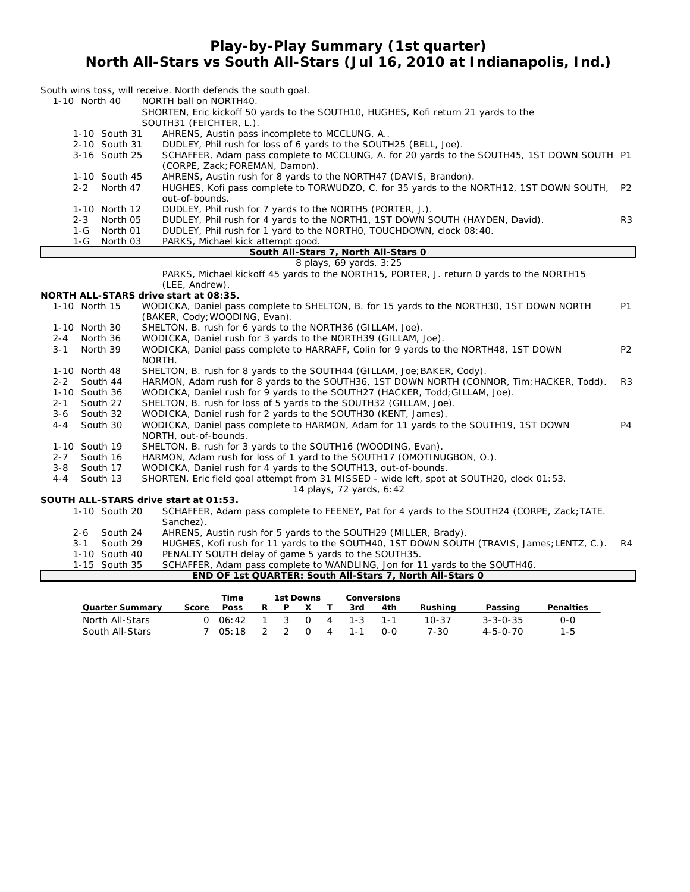### **Play-by-Play Summary (1st quarter) North All-Stars vs South All-Stars (Jul 16, 2010 at Indianapolis, Ind.)**

|                                       | South wins toss, will receive. North defends the south goal.                                                                 |                |
|---------------------------------------|------------------------------------------------------------------------------------------------------------------------------|----------------|
| 1-10 North 40                         | NORTH ball on NORTH40.<br>SHORTEN, Eric kickoff 50 yards to the SOUTH10, HUGHES, Kofi return 21 yards to the                 |                |
|                                       | SOUTH31 (FEICHTER, L.).                                                                                                      |                |
| 1-10 South 31                         | AHRENS, Austin pass incomplete to MCCLUNG, A                                                                                 |                |
| 2-10 South 31                         | DUDLEY, Phil rush for loss of 6 yards to the SOUTH25 (BELL, Joe).                                                            |                |
| 3-16 South 25                         | SCHAFFER, Adam pass complete to MCCLUNG, A. for 20 yards to the SOUTH45, 1ST DOWN SOUTH P1<br>(CORPE, Zack; FOREMAN, Damon). |                |
| 1-10 South 45                         | AHRENS, Austin rush for 8 yards to the NORTH47 (DAVIS, Brandon).                                                             |                |
| 2-2 North 47                          | HUGHES, Kofi pass complete to TORWUDZO, C. for 35 yards to the NORTH12, 1ST DOWN SOUTH,                                      | P <sub>2</sub> |
|                                       | out-of-bounds.                                                                                                               |                |
| 1-10 North 12                         | DUDLEY, Phil rush for 7 yards to the NORTH5 (PORTER, J.).                                                                    |                |
| North 05<br>$2 - 3$                   | DUDLEY, Phil rush for 4 yards to the NORTH1, 1ST DOWN SOUTH (HAYDEN, David).                                                 | R <sub>3</sub> |
| 1-G<br>North 01                       | DUDLEY, Phil rush for 1 yard to the NORTHO, TOUCHDOWN, clock 08:40.                                                          |                |
| $1-G$<br>North 03                     | PARKS, Michael kick attempt good.                                                                                            |                |
|                                       | South All-Stars 7, North All-Stars 0<br>8 plays, 69 yards, 3:25                                                              |                |
|                                       | PARKS, Michael kickoff 45 yards to the NORTH15, PORTER, J. return 0 yards to the NORTH15                                     |                |
|                                       | (LEE, Andrew).                                                                                                               |                |
| NORTH ALL-STARS drive start at 08:35. |                                                                                                                              |                |
| 1-10 North 15                         | WODICKA, Daniel pass complete to SHELTON, B. for 15 yards to the NORTH30, 1ST DOWN NORTH                                     | <b>P1</b>      |
|                                       | (BAKER, Cody; WOODING, Evan).                                                                                                |                |
| 1-10 North 30                         | SHELTON, B. rush for 6 yards to the NORTH36 (GILLAM, Joe).                                                                   |                |
| North 36<br>$2 - 4$                   | WODICKA, Daniel rush for 3 yards to the NORTH39 (GILLAM, Joe).                                                               |                |
| $3 - 1$<br>North 39                   | WODICKA, Daniel pass complete to HARRAFF, Colin for 9 yards to the NORTH48, 1ST DOWN                                         | P <sub>2</sub> |
| 1-10 North 48                         | NORTH.<br>SHELTON, B. rush for 8 yards to the SOUTH44 (GILLAM, Joe; BAKER, Cody).                                            |                |
| $2 - 2$<br>South 44                   | HARMON, Adam rush for 8 yards to the SOUTH36, 1ST DOWN NORTH (CONNOR, Tim; HACKER, Todd).                                    | R <sub>3</sub> |
| 1-10 South 36                         | WODICKA, Daniel rush for 9 yards to the SOUTH27 (HACKER, Todd; GILLAM, Joe).                                                 |                |
| $2 - 1$<br>South 27                   | SHELTON, B. rush for loss of 5 yards to the SOUTH32 (GILLAM, Joe).                                                           |                |
| $3-6$<br>South 32                     | WODICKA, Daniel rush for 2 yards to the SOUTH30 (KENT, James).                                                               |                |
| South 30<br>$4 - 4$                   | WODICKA, Daniel pass complete to HARMON, Adam for 11 yards to the SOUTH19, 1ST DOWN                                          | P <sub>4</sub> |
|                                       | NORTH, out-of-bounds.                                                                                                        |                |
| 1-10 South 19                         | SHELTON, B. rush for 3 yards to the SOUTH16 (WOODING, Evan).                                                                 |                |
| $2 - 7$<br>South 16                   | HARMON, Adam rush for loss of 1 yard to the SOUTH17 (OMOTINUGBON, O.).                                                       |                |
| $3 - 8$<br>South 17                   | WODICKA, Daniel rush for 4 yards to the SOUTH13, out-of-bounds.                                                              |                |
| South 13<br>$4 - 4$                   | SHORTEN, Eric field goal attempt from 31 MISSED - wide left, spot at SOUTH20, clock 01:53.                                   |                |
| SOUTH ALL-STARS drive start at 01:53. | 14 plays, 72 yards, 6:42                                                                                                     |                |
| 1-10 South 20                         | SCHAFFER, Adam pass complete to FEENEY, Pat for 4 yards to the SOUTH24 (CORPE, Zack; TATE.                                   |                |
|                                       | Sanchez).                                                                                                                    |                |
| South 24<br>2-6                       | AHRENS, Austin rush for 5 yards to the SOUTH29 (MILLER, Brady).                                                              |                |
| $3 - 1$<br>South 29                   | HUGHES, Kofi rush for 11 yards to the SOUTH40, 1ST DOWN SOUTH (TRAVIS, James; LENTZ, C.).                                    | R4             |
| 1-10 South 40                         | PENALTY SOUTH delay of game 5 yards to the SOUTH35.                                                                          |                |
| 1-15 South 35                         | SCHAFFER, Adam pass complete to WANDLING, Jon for 11 yards to the SOUTH46.                                                   |                |
|                                       | END OF 1st QUARTER: South All-Stars 7, North All-Stars 0                                                                     |                |

|                        |       | <b>Time</b> |   | 1st Downs    |   |   | Conversions |         |         |                  |                  |
|------------------------|-------|-------------|---|--------------|---|---|-------------|---------|---------|------------------|------------------|
| <b>Quarter Summary</b> | Score | <b>Poss</b> | R | P            | X |   | 3rd         | 4th     | Rushina | Passing          | <b>Penalties</b> |
| North All-Stars        |       | 0.06:42     |   | $\mathbf{R}$ |   |   | 4 1-3       | - 1 - 1 | 10-37   | $3 - 3 - 0 - 35$ | 0-0              |
| South All-Stars        |       | 05.18       |   |              |   | 4 | 1-1         | റ-റ     | 7-30    | $4 - 5 - 0 - 70$ | $1 - 5$          |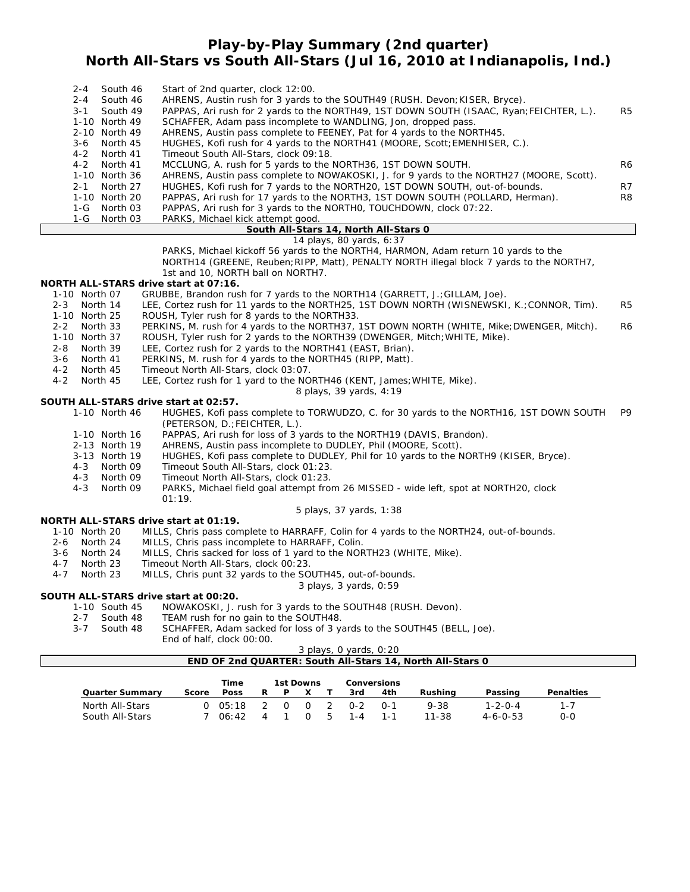### **Play-by-Play Summary (2nd quarter) North All-Stars vs South All-Stars (Jul 16, 2010 at Indianapolis, Ind.)**

| $2 - 4$ | South 46      | Start of 2nd quarter, clock 12:00.                                                       |                |
|---------|---------------|------------------------------------------------------------------------------------------|----------------|
| $2 - 4$ | South 46      | AHRENS, Austin rush for 3 yards to the SOUTH49 (RUSH. Devon; KISER, Bryce).              |                |
| $3 - 1$ | South 49      | PAPPAS, Ari rush for 2 yards to the NORTH49, 1ST DOWN SOUTH (ISAAC, Ryan; FEICHTER, L.). | R <sub>5</sub> |
|         | 1-10 North 49 | SCHAFFER, Adam pass incomplete to WANDLING, Jon, dropped pass.                           |                |
|         | 2-10 North 49 | AHRENS, Austin pass complete to FEENEY, Pat for 4 yards to the NORTH45.                  |                |
|         | 3-6 North 45  | HUGHES, Kofi rush for 4 yards to the NORTH41 (MOORE, Scott; EMENHISER, C.).              |                |
|         | 4-2 North 41  | Timeout South All-Stars, clock 09:18.                                                    |                |
|         | 4-2 North 41  | MCCLUNG, A. rush for 5 yards to the NORTH36, 1ST DOWN SOUTH.                             | R <sub>6</sub> |
|         | 1-10 North 36 | AHRENS, Austin pass complete to NOWAKOSKI, J. for 9 yards to the NORTH27 (MOORE, Scott). |                |
| $2 - 1$ | North 27      | HUGHES, Kofi rush for 7 yards to the NORTH20, 1ST DOWN SOUTH, out-of-bounds.             | R7             |
|         | 1-10 North 20 | PAPPAS, Ari rush for 17 yards to the NORTH3, 1ST DOWN SOUTH (POLLARD, Herman).           | R <sub>8</sub> |
|         | 1-G North 03  | PAPPAS, Ari rush for 3 yards to the NORTHO, TOUCHDOWN, clock 07:22.                      |                |
|         | 1-G North 03  | PARKS, Michael kick attempt good.                                                        |                |
|         |               |                                                                                          |                |

#### **South All-Stars 14, North All-Stars 0** *14 plays, 80 yards, 6:37*

PARKS, Michael kickoff 56 yards to the NORTH4, HARMON, Adam return 10 yards to the NORTH14 (GREENE, Reuben;RIPP, Matt), PENALTY NORTH illegal block 7 yards to the NORTH7, 1st and 10, NORTH ball on NORTH7.

### **NORTH ALL-STARS drive start at 07:16.**

- 1-10 North 07 GRUBBE, Brandon rush for 7 yards to the NORTH14 (GARRETT, J.;GILLAM, Joe).
- 2-3 North 14 LEE, Cortez rush for 11 yards to the NORTH25, 1ST DOWN NORTH (WISNEWSKI, K.;CONNOR, Tim). R5 1-10 North 25 ROUSH, Tyler rush for 8 yards to the NORTH33.
- 2-2 North 33 PERKINS, M. rush for 4 yards to the NORTH37, 1ST DOWN NORTH (WHITE, Mike; DWENGER, Mitch). R6<br>1-10 North 37 ROUSH. Tyler rush for 2 vards to the NORTH39 (DWENGER. Mitch; WHITE, Mike).
- ROUSH, Tyler rush for 2 yards to the NORTH39 (DWENGER, Mitch; WHITE, Mike).
- 2-8 North 39 LEE, Cortez rush for 2 yards to the NORTH41 (EAST, Brian).
- 3-6 North 41 PERKINS, M. rush for 4 yards to the NORTH45 (RIPP, Matt).
- 4-2 North 45 Timeout North All-Stars, clock 03:07.
- 4-2 North 45 LEE, Cortez rush for 1 yard to the NORTH46 (KENT, James;WHITE, Mike).

*8 plays, 39 yards, 4:19*

### **SOUTH ALL-STARS drive start at 02:57.**

1-10 North 46 HUGHES, Kofi pass complete to TORWUDZO, C. for 30 yards to the NORTH16, 1ST DOWN SOUTH P9 (PETERSON, D.;FEICHTER, L.).

- 1-10 North 16 PAPPAS, Ari rush for loss of 3 yards to the NORTH19 (DAVIS, Brandon).
- 2-13 North 19 AHRENS, Austin pass incomplete to DUDLEY, Phil (MOORE, Scott).
- 3-13 North 19 HUGHES, Kofi pass complete to DUDLEY, Phil for 10 yards to the NORTH9 (KISER, Bryce).
- 4-3 North 09 Timeout South All-Stars, clock 01:23.
- 4-3 North 09 Timeout North All-Stars, clock 01:23.
	- PARKS, Michael field goal attempt from 26 MISSED wide left, spot at NORTH20, clock 01:19.

#### *5 plays, 37 yards, 1:38*

### **NORTH ALL-STARS drive start at 01:19.**

- 1-10 North 20 MILLS, Chris pass complete to HARRAFF, Colin for 4 yards to the NORTH24, out-of-bounds.
- 2-6 North 24 MILLS, Chris pass incomplete to HARRAFF, Colin.
- 3-6 North 24 MILLS, Chris sacked for loss of 1 yard to the NORTH23 (WHITE, Mike).
- 4-7 North 23 Timeout North All-Stars, clock 00:23.

### MILLS, Chris punt 32 yards to the SOUTH45, out-of-bounds.

#### *3 plays, 3 yards, 0:59*

### **SOUTH ALL-STARS drive start at 00:20.**

- 1-10 South 45 NOWAKOSKI, J. rush for 3 yards to the SOUTH48 (RUSH. Devon).
- 2-7 South 48 TEAM rush for no gain to the SOUTH48.
- 3-7 South 48 SCHAFFER, Adam sacked for loss of 3 yards to the SOUTH45 (BELL, Joe). End of half, clock 00:00.

#### *3 plays, 0 yards, 0:20* **END OF 2nd QUARTER: South All-Stars 14, North All-Stars 0**

South All-Stars 7 06:42 4 1 0 5 1-4 1-1 11-38 4-6-0-53 0-0

| END OF 200 QUARTER: SOUTH AII-Stars 14, NORTH AII-Stars O |       |             |   |   |           |               |     |                    |          |                 |                  |  |
|-----------------------------------------------------------|-------|-------------|---|---|-----------|---------------|-----|--------------------|----------|-----------------|------------------|--|
|                                                           |       | Time        |   |   | 1st Downs |               |     | <b>Conversions</b> |          |                 |                  |  |
| <b>Quarter Summary</b>                                    | Score | <b>Poss</b> | R | P |           |               | 3rd | 4th                | Rushina  | Passing         | <b>Penalties</b> |  |
| North All-Stars                                           |       | $05:18$ 2   |   |   | റ         | $\mathcal{P}$ | በ-2 | ົດ-1               | $9 - 38$ | $1 - 2 - 0 - 4$ |                  |  |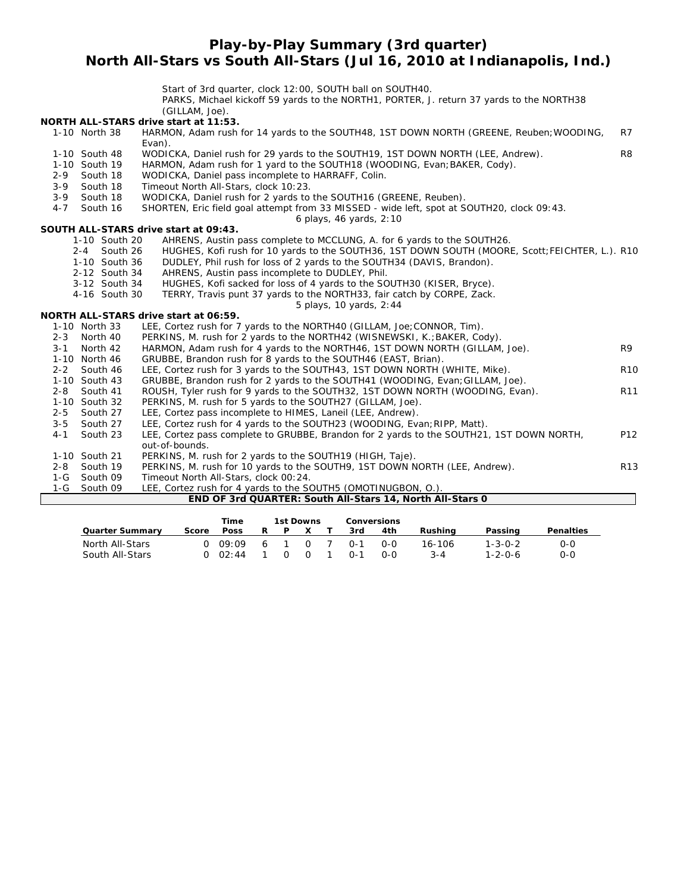### **Play-by-Play Summary (3rd quarter) North All-Stars vs South All-Stars (Jul 16, 2010 at Indianapolis, Ind.)**

Start of 3rd quarter, clock 12:00, SOUTH ball on SOUTH40.

PARKS, Michael kickoff 59 yards to the NORTH1, PORTER, J. return 37 yards to the NORTH38  $(GIII)$   $M$ ,  $I$ oe).

|         |                     | UULLAWI, JUEJ.                                                                                    |                 |
|---------|---------------------|---------------------------------------------------------------------------------------------------|-----------------|
|         |                     | NORTH ALL-STARS drive start at 11:53.                                                             |                 |
|         | 1-10 North 38       | HARMON, Adam rush for 14 yards to the SOUTH48, 1ST DOWN NORTH (GREENE, Reuben; WOODING,<br>Evan). | R7              |
|         | 1-10 South 48       | WODICKA, Daniel rush for 29 yards to the SOUTH19, 1ST DOWN NORTH (LEE, Andrew).                   | R <sub>8</sub>  |
|         | 1-10 South 19       | HARMON, Adam rush for 1 yard to the SOUTH18 (WOODING, Evan; BAKER, Cody).                         |                 |
| $2 - 9$ | South 18            | WODICKA, Daniel pass incomplete to HARRAFF, Colin.                                                |                 |
| $3 - 9$ | South 18            | Timeout North All-Stars, clock 10:23.                                                             |                 |
| $3 - 9$ | South 18            | WODICKA, Daniel rush for 2 yards to the SOUTH16 (GREENE, Reuben).                                 |                 |
| $4 - 7$ | South 16            | SHORTEN, Eric field goal attempt from 33 MISSED - wide left, spot at SOUTH20, clock 09:43.        |                 |
|         |                     | 6 plays, 46 yards, 2:10                                                                           |                 |
|         |                     | SOUTH ALL-STARS drive start at 09:43.                                                             |                 |
|         | 1-10 South 20       | AHRENS, Austin pass complete to MCCLUNG, A. for 6 yards to the SOUTH26.                           |                 |
|         | $2 - 4$<br>South 26 | HUGHES, Kofi rush for 10 yards to the SOUTH36, 1ST DOWN SOUTH (MOORE, Scott; FEICHTER, L.). R10   |                 |
|         | 1-10 South 36       | DUDLEY, Phil rush for loss of 2 yards to the SOUTH34 (DAVIS, Brandon).                            |                 |
|         | 2-12 South 34       | AHRENS, Austin pass incomplete to DUDLEY, Phil.                                                   |                 |
|         | 3-12 South 34       | HUGHES, Kofi sacked for loss of 4 yards to the SOUTH30 (KISER, Bryce).                            |                 |
|         | 4-16 South 30       | TERRY, Travis punt 37 yards to the NORTH33, fair catch by CORPE, Zack.                            |                 |
|         |                     | 5 plays, 10 yards, 2:44                                                                           |                 |
|         |                     | NORTH ALL-STARS drive start at 06:59.                                                             |                 |
|         | 1-10 North 33       | LEE, Cortez rush for 7 yards to the NORTH40 (GILLAM, Joe; CONNOR, Tim).                           |                 |
| $2 - 3$ | North 40            | PERKINS, M. rush for 2 yards to the NORTH42 (WISNEWSKI, K.; BAKER, Cody).                         |                 |
| $3 - 1$ | North 42            | HARMON, Adam rush for 4 yards to the NORTH46, 1ST DOWN NORTH (GILLAM, Joe).                       | R <sub>9</sub>  |
|         | 1-10 North 46       | GRUBBE, Brandon rush for 8 yards to the SOUTH46 (EAST, Brian).                                    |                 |
| $2 - 2$ | South 46            | LEE, Cortez rush for 3 yards to the SOUTH43, 1ST DOWN NORTH (WHITE, Mike).                        | <b>R10</b>      |
|         | 1-10 South 43       | GRUBBE, Brandon rush for 2 yards to the SOUTH41 (WOODING, Evan; GILLAM, Joe).                     |                 |
| $2 - 8$ | South 41            | ROUSH, Tyler rush for 9 yards to the SOUTH32, 1ST DOWN NORTH (WOODING, Evan).                     | R <sub>11</sub> |
|         | 1-10 South 32       | PERKINS, M. rush for 5 yards to the SOUTH27 (GILLAM, Joe).                                        |                 |
| $2 - 5$ | South 27            | LEE, Cortez pass incomplete to HIMES, Laneil (LEE, Andrew).                                       |                 |
| $3 - 5$ | South 27            | LEE, Cortez rush for 4 yards to the SOUTH23 (WOODING, Evan; RIPP, Matt).                          |                 |
| $4 - 1$ | South 23            | LEE, Cortez pass complete to GRUBBE, Brandon for 2 yards to the SOUTH21, 1ST DOWN NORTH,          | P12             |
|         |                     | out-of-bounds.                                                                                    |                 |
|         | 1-10 South 21       | PERKINS, M. rush for 2 yards to the SOUTH19 (HIGH, Taje).                                         |                 |
|         | 2-8 South 19        | PERKINS, M. rush for 10 yards to the SOUTH9, 1ST DOWN NORTH (LEE, Andrew).                        | R <sub>13</sub> |
|         | 1-G South 09        | Timeout North All-Stars, clock 00:24.                                                             |                 |
|         | 1-G South 09        | LEE, Cortez rush for 4 yards to the SOUTH5 (OMOTINUGBON, O.).                                     |                 |
|         |                     | END OF 3rd QUARTER: South All-Stars 14, North All-Stars 0                                         |                 |
|         |                     | <b>There</b> is a strip<br>$A = 1$ $B = 1$<br>$\mathcal{L}$                                       |                 |

|                        |       | Time                            |     |   | 1st Downs |         | <b>Conversions</b> |         |                 |                  |
|------------------------|-------|---------------------------------|-----|---|-----------|---------|--------------------|---------|-----------------|------------------|
| <b>Quarter Summary</b> | Score | <b>Poss</b>                     |     | P |           | 3rd     | 4th                | Rushina | Passing         | <b>Penalties</b> |
| North All-Stars        |       | 0.09.09                         | - 6 |   |           | $0 - 1$ | റ-റ                | 16-106  | $1 - 3 - 0 - 2$ | 0-0              |
| South All-Stars        |       | $\bigcap$ $\bigcirc$ $\cdot$ 44 |     |   | $\Omega$  | $0 - 1$ | <u>ດ-ດ</u>         | 3-4     | $1 - 2 - 0 - 6$ | 0-0              |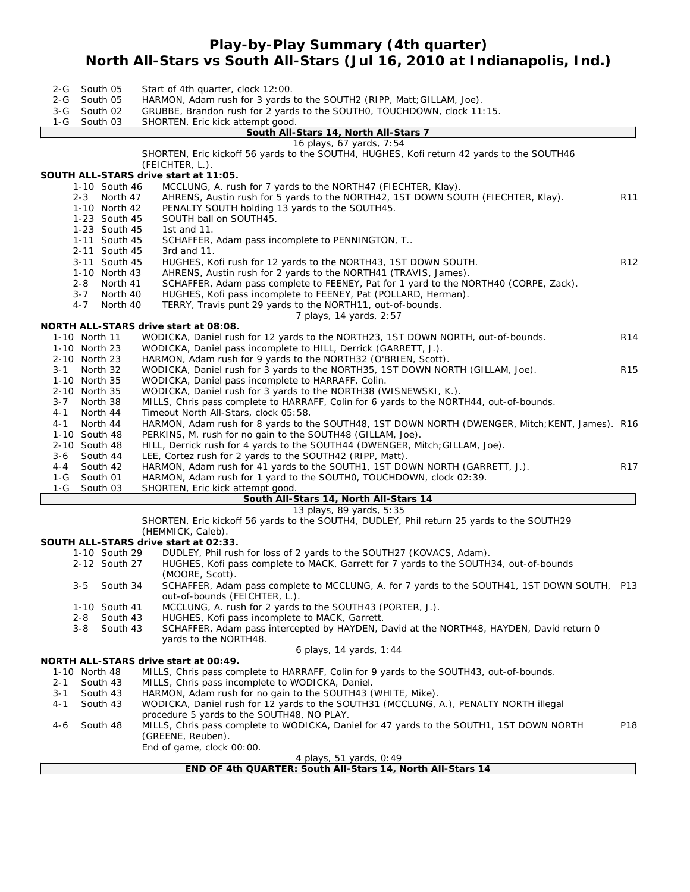# **Play-by-Play Summary (4th quarter) North All-Stars vs South All-Stars (Jul 16, 2010 at Indianapolis, Ind.)**

| South 05<br>2-G<br>2-G<br>South 05                              | Start of 4th quarter, clock 12:00.<br>HARMON, Adam rush for 3 yards to the SOUTH2 (RIPP, Matt; GILLAM, Joe).                                                                                                                  |                 |
|-----------------------------------------------------------------|-------------------------------------------------------------------------------------------------------------------------------------------------------------------------------------------------------------------------------|-----------------|
| 3-G South 02<br>South 03<br>$1-G$                               | GRUBBE, Brandon rush for 2 yards to the SOUTHO, TOUCHDOWN, clock 11:15.<br>SHORTEN, Eric kick attempt good.                                                                                                                   |                 |
|                                                                 | South All-Stars 14, North All-Stars 7                                                                                                                                                                                         |                 |
|                                                                 | 16 plays, 67 yards, 7:54                                                                                                                                                                                                      |                 |
|                                                                 | SHORTEN, Eric kickoff 56 yards to the SOUTH4, HUGHES, Kofi return 42 yards to the SOUTH46                                                                                                                                     |                 |
|                                                                 | (FEICHTER, L.).                                                                                                                                                                                                               |                 |
|                                                                 | SOUTH ALL-STARS drive start at 11:05.                                                                                                                                                                                         |                 |
| 1-10 South 46<br>2-3 North 47<br>1-10 North 42<br>1-23 South 45 | MCCLUNG, A. rush for 7 yards to the NORTH47 (FIECHTER, Klay).<br>AHRENS, Austin rush for 5 yards to the NORTH42, 1ST DOWN SOUTH (FIECHTER, Klay).<br>PENALTY SOUTH holding 13 yards to the SOUTH45.<br>SOUTH ball on SOUTH45. | R <sub>11</sub> |
| 1-23 South 45                                                   | 1st and $11$ .                                                                                                                                                                                                                |                 |
| 1-11 South 45                                                   | SCHAFFER, Adam pass incomplete to PENNINGTON, T                                                                                                                                                                               |                 |
| 2-11 South 45                                                   | 3rd and $11$ .                                                                                                                                                                                                                |                 |
| 3-11 South 45                                                   | HUGHES, Kofi rush for 12 yards to the NORTH43, 1ST DOWN SOUTH.                                                                                                                                                                | R <sub>12</sub> |
| 1-10 North 43                                                   | AHRENS, Austin rush for 2 yards to the NORTH41 (TRAVIS, James).                                                                                                                                                               |                 |
| 2-8 North 41<br>3-7 North 40<br>4-7<br>North 40                 | SCHAFFER, Adam pass complete to FEENEY, Pat for 1 yard to the NORTH40 (CORPE, Zack).<br>HUGHES, Kofi pass incomplete to FEENEY, Pat (POLLARD, Herman).<br>TERRY, Travis punt 29 yards to the NORTH11, out-of-bounds.          |                 |
|                                                                 | 7 plays, 14 yards, 2:57                                                                                                                                                                                                       |                 |
|                                                                 | NORTH ALL-STARS drive start at 08:08.                                                                                                                                                                                         |                 |
| 1-10 North 11<br>1-10 North 23                                  | WODICKA, Daniel rush for 12 yards to the NORTH23, 1ST DOWN NORTH, out-of-bounds.<br>WODICKA, Daniel pass incomplete to HILL, Derrick (GARRETT, J.).                                                                           | R <sub>14</sub> |
| 2-10 North 23                                                   | HARMON, Adam rush for 9 yards to the NORTH32 (O'BRIEN, Scott).                                                                                                                                                                |                 |
| 3-1 North 32                                                    | WODICKA, Daniel rush for 3 yards to the NORTH35, 1ST DOWN NORTH (GILLAM, Joe).                                                                                                                                                | <b>R15</b>      |
| 1-10 North 35<br>2-10 North 35                                  | WODICKA, Daniel pass incomplete to HARRAFF, Colin.<br>WODICKA, Daniel rush for 3 yards to the NORTH38 (WISNEWSKI, K.).                                                                                                        |                 |
| $3 - 7$<br>North 38                                             | MILLS, Chris pass complete to HARRAFF, Colin for 6 yards to the NORTH44, out-of-bounds.                                                                                                                                       |                 |
| 4-1<br>North 44                                                 | Timeout North All-Stars, clock 05:58.                                                                                                                                                                                         |                 |
| 4-1<br>North 44                                                 | HARMON, Adam rush for 8 yards to the SOUTH48, 1ST DOWN NORTH (DWENGER, Mitch; KENT, James). R16                                                                                                                               |                 |
| 1-10 South 48                                                   | PERKINS, M. rush for no gain to the SOUTH48 (GILLAM, Joe).                                                                                                                                                                    |                 |
| 2-10 South 48                                                   | HILL, Derrick rush for 4 yards to the SOUTH44 (DWENGER, Mitch; GILLAM, Joe).                                                                                                                                                  |                 |
| $3-6$<br>South 44                                               | LEE, Cortez rush for 2 yards to the SOUTH42 (RIPP, Matt).                                                                                                                                                                     |                 |
| South 42<br>4-4                                                 | HARMON, Adam rush for 41 yards to the SOUTH1, 1ST DOWN NORTH (GARRETT, J.).                                                                                                                                                   | R <sub>17</sub> |
| South 01<br>1-G                                                 | HARMON, Adam rush for 1 yard to the SOUTHO, TOUCHDOWN, clock 02:39.                                                                                                                                                           |                 |
| $1-G$<br>South 03                                               | SHORTEN, Eric kick attempt good.<br>South All-Stars 14, North All-Stars 14                                                                                                                                                    |                 |
|                                                                 | 13 plays, 89 yards, 5:35                                                                                                                                                                                                      |                 |
|                                                                 | SHORTEN, Eric kickoff 56 yards to the SOUTH4, DUDLEY, Phil return 25 yards to the SOUTH29                                                                                                                                     |                 |
|                                                                 | (HEMMICK, Caleb).                                                                                                                                                                                                             |                 |
|                                                                 | SOUTH ALL-STARS drive start at 02:33.                                                                                                                                                                                         |                 |
| 1-10 South 29                                                   | DUDLEY, Phil rush for loss of 2 yards to the SOUTH27 (KOVACS, Adam).                                                                                                                                                          |                 |
| 2-12 South 27                                                   | HUGHES, Kofi pass complete to MACK, Garrett for 7 yards to the SOUTH34, out-of-bounds                                                                                                                                         |                 |
| 3-5 South 34                                                    | (MOORE, Scott).<br>SCHAFFER, Adam pass complete to MCCLUNG, A. for 7 yards to the SOUTH41, 1ST DOWN SOUTH,                                                                                                                    | P13             |
|                                                                 | out-of-bounds (FEICHTER, L.).                                                                                                                                                                                                 |                 |
| 1-10 South 41<br>South 43<br>2-8                                | MCCLUNG, A. rush for 2 yards to the SOUTH43 (PORTER, J.).<br>HUGHES, Kofi pass incomplete to MACK, Garrett.                                                                                                                   |                 |
| South 43<br>$3 - 8$                                             | SCHAFFER, Adam pass intercepted by HAYDEN, David at the NORTH48, HAYDEN, David return 0                                                                                                                                       |                 |
|                                                                 | yards to the NORTH48.                                                                                                                                                                                                         |                 |
|                                                                 | 6 plays, 14 yards, 1:44                                                                                                                                                                                                       |                 |
|                                                                 | NORTH ALL-STARS drive start at 00:49.                                                                                                                                                                                         |                 |
| 1-10 North 48                                                   | MILLS, Chris pass complete to HARRAFF, Colin for 9 yards to the SOUTH43, out-of-bounds.                                                                                                                                       |                 |
| South 43<br>2-1                                                 | MILLS, Chris pass incomplete to WODICKA, Daniel.                                                                                                                                                                              |                 |
| 3-1<br>South 43                                                 | HARMON, Adam rush for no gain to the SOUTH43 (WHITE, Mike).                                                                                                                                                                   |                 |
| 4-1<br>South 43                                                 | WODICKA, Daniel rush for 12 yards to the SOUTH31 (MCCLUNG, A.), PENALTY NORTH illegal                                                                                                                                         |                 |
| South 48<br>4-6                                                 | procedure 5 yards to the SOUTH48, NO PLAY.<br>MILLS, Chris pass complete to WODICKA, Daniel for 47 yards to the SOUTH1, 1ST DOWN NORTH                                                                                        | P18             |
|                                                                 | (GREENE, Reuben).                                                                                                                                                                                                             |                 |
|                                                                 | End of game, clock 00:00.                                                                                                                                                                                                     |                 |

*4 plays, 51 yards, 0:49*

**END OF 4th QUARTER: South All-Stars 14, North All-Stars 14**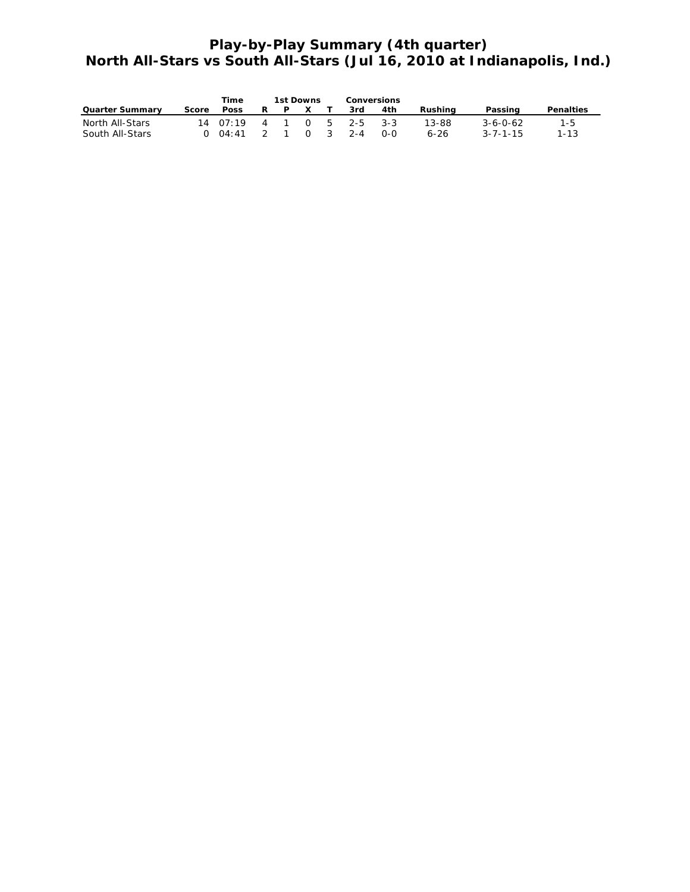# **Play-by-Play Summary (4th quarter) North All-Stars vs South All-Stars (Jul 16, 2010 at Indianapolis, Ind.)**

|                        |       | Time                                     |   |   | 1st Downs    | <b>Conversions</b>  |     |         |                  |                  |
|------------------------|-------|------------------------------------------|---|---|--------------|---------------------|-----|---------|------------------|------------------|
| <b>Quarter Summary</b> | Score | <b>Poss</b>                              | R | P | $\mathsf{X}$ | 3rd                 | 4th | Rushina | Passing          | <b>Penalties</b> |
| North All-Stars        |       | $14 \t07:19 \t4 \t1 \t0 \t5 \t2-5 \t3-3$ |   |   |              |                     |     | 13-88   | $3 - 6 - 0 - 62$ | 1-5              |
| South All-Stars        |       | $0.04:41$ 2 1                            |   |   |              | $\bigcap_{2}$ 3 2-4 | റ-റ | 6-26    | $3 - 7 - 1 - 15$ | $1 - 1.3$        |